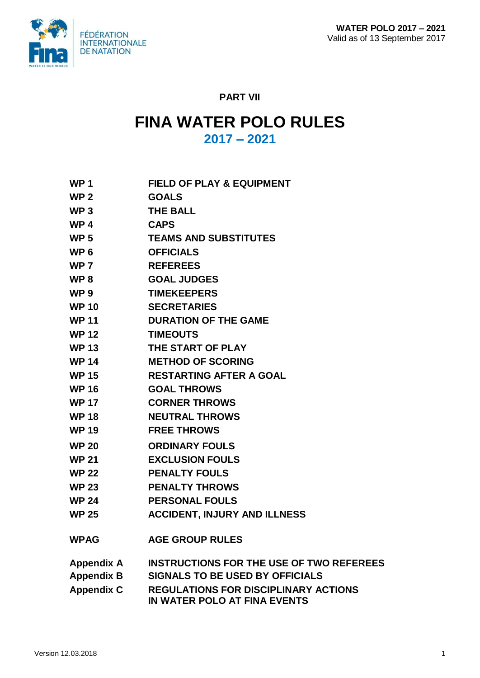

# **PART VII**

# **FINA WATER POLO RULES 2017 – 2021**

- **WP 1 FIELD OF PLAY & EQUIPMENT**
- **WP 2 GOALS**
- **WP 3 THE BALL**
- **WP 4 CAPS**
- **WP 5 TEAMS AND SUBSTITUTES**
- **WP 6 OFFICIALS**
- **WP 7 REFEREES**
- **WP 8 GOAL JUDGES**
- **WP 9 TIMEKEEPERS**
- **WP 10 SECRETARIES**
- **WP 11 DURATION OF THE GAME**
- **WP 12 TIMEOUTS**
- **WP 13 THE START OF PLAY**
- **WP 14 METHOD OF SCORING**
- **WP 15 RESTARTING AFTER A GOAL**
- **WP 16 GOAL THROWS**
- **WP 17 CORNER THROWS**
- **WP 18 NEUTRAL THROWS**
- **WP 19 FREE THROWS**
- **WP 20 ORDINARY FOULS**
- **WP 21 EXCLUSION FOULS**
- **WP 22 PENALTY FOULS**
- **WP 23 PENALTY THROWS**
- **WP 24 PERSONAL FOULS**
- **WP 25 ACCIDENT, INJURY AND ILLNESS**
- **WPAG AGE GROUP RULES**
- **Appendix A INSTRUCTIONS FOR THE USE OF TWO REFEREES**
- **Appendix B SIGNALS TO BE USED BY OFFICIALS**
- **Appendix C REGULATIONS FOR DISCIPLINARY ACTIONS** 
	- **IN WATER POLO AT FINA EVENTS**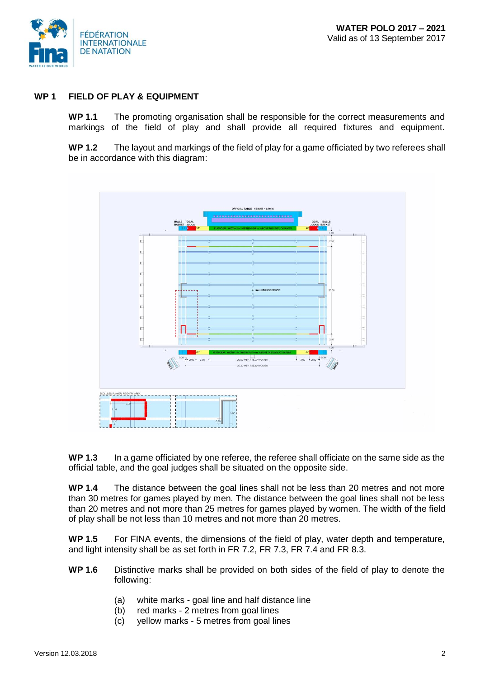

## **WP 1 FIELD OF PLAY & EQUIPMENT**

**WP 1.1** The promoting organisation shall be responsible for the correct measurements and markings of the field of play and shall provide all required fixtures and equipment.

**WP 1.2** The layout and markings of the field of play for a game officiated by two referees shall be in accordance with this diagram:



**WP 1.3** In a game officiated by one referee, the referee shall officiate on the same side as the official table, and the goal judges shall be situated on the opposite side.

**WP 1.4** The distance between the goal lines shall not be less than 20 metres and not more than 30 metres for games played by men. The distance between the goal lines shall not be less than 20 metres and not more than 25 metres for games played by women. The width of the field of play shall be not less than 10 metres and not more than 20 metres.

**WP 1.5** For FINA events, the dimensions of the field of play, water depth and temperature, and light intensity shall be as set forth in FR 7.2, FR 7.3, FR 7.4 and FR 8.3.

- **WP 1.6** Distinctive marks shall be provided on both sides of the field of play to denote the following:
	- (a) white marks goal line and half distance line
	- (b) red marks 2 metres from goal lines
	- (c) yellow marks 5 metres from goal lines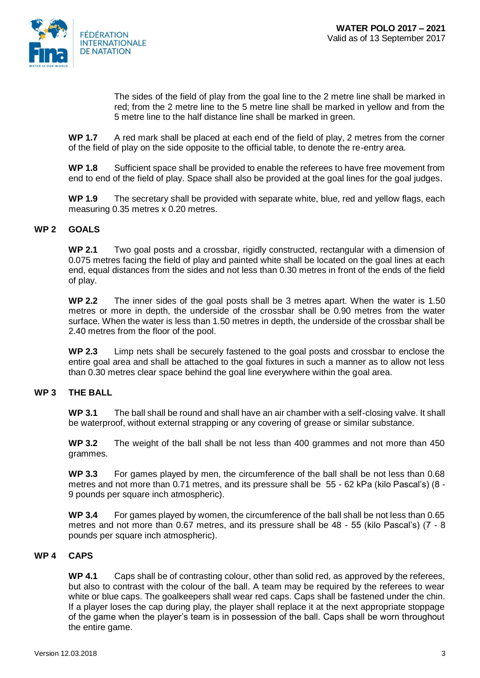

The sides of the field of play from the goal line to the 2 metre line shall be marked in red; from the 2 metre line to the 5 metre line shall be marked in yellow and from the 5 metre line to the half distance line shall be marked in green.

WP 1.7 A red mark shall be placed at each end of the field of play, 2 metres from the corner of the field of play on the side opposite to the official table, to denote the re-entry area.

**WP 1.8** Sufficient space shall be provided to enable the referees to have free movement from end to end of the field of play. Space shall also be provided at the goal lines for the goal judges.

**WP 1.9** The secretary shall be provided with separate white, blue, red and yellow flags, each measuring 0.35 metres x 0.20 metres.

### **WP 2 GOALS**

**WP 2.1** Two goal posts and a crossbar, rigidly constructed, rectangular with a dimension of 0.075 metres facing the field of play and painted white shall be located on the goal lines at each end, equal distances from the sides and not less than 0.30 metres in front of the ends of the field of play.

**WP 2.2** The inner sides of the goal posts shall be 3 metres apart. When the water is 1.50 metres or more in depth, the underside of the crossbar shall be 0.90 metres from the water surface. When the water is less than 1.50 metres in depth, the underside of the crossbar shall be 2.40 metres from the floor of the pool.

**WP 2.3** Limp nets shall be securely fastened to the goal posts and crossbar to enclose the entire goal area and shall be attached to the goal fixtures in such a manner as to allow not less than 0.30 metres clear space behind the goal line everywhere within the goal area.

### **WP 3 THE BALL**

**WP 3.1** The ball shall be round and shall have an air chamber with a self-closing valve. It shall be waterproof, without external strapping or any covering of grease or similar substance.

**WP 3.2** The weight of the ball shall be not less than 400 grammes and not more than 450 grammes.

**WP 3.3** For games played by men, the circumference of the ball shall be not less than 0.68 metres and not more than 0.71 metres, and its pressure shall be 55 - 62 kPa (kilo Pascal's) (8 - 9 pounds per square inch atmospheric).

**WP 3.4** For games played by women, the circumference of the ball shall be not less than 0.65 metres and not more than 0.67 metres, and its pressure shall be 48 - 55 (kilo Pascal's) (7 - 8 pounds per square inch atmospheric).

### **WP 4 CAPS**

**WP 4.1** Caps shall be of contrasting colour, other than solid red, as approved by the referees, but also to contrast with the colour of the ball. A team may be required by the referees to wear white or blue caps. The goalkeepers shall wear red caps. Caps shall be fastened under the chin. If a player loses the cap during play, the player shall replace it at the next appropriate stoppage of the game when the player's team is in possession of the ball. Caps shall be worn throughout the entire game.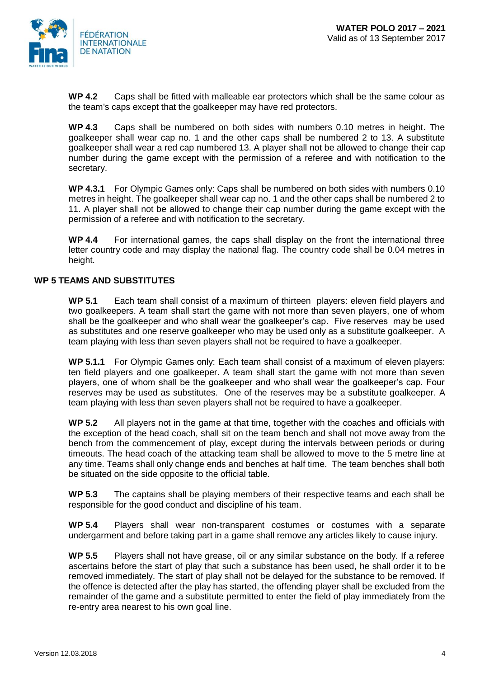

**WP 4.2** Caps shall be fitted with malleable ear protectors which shall be the same colour as the team's caps except that the goalkeeper may have red protectors.

**WP 4.3** Caps shall be numbered on both sides with numbers 0.10 metres in height. The goalkeeper shall wear cap no. 1 and the other caps shall be numbered 2 to 13. A substitute goalkeeper shall wear a red cap numbered 13. A player shall not be allowed to change their cap number during the game except with the permission of a referee and with notification to the secretary.

**WP 4.3.1** For Olympic Games only: Caps shall be numbered on both sides with numbers 0.10 metres in height. The goalkeeper shall wear cap no. 1 and the other caps shall be numbered 2 to 11. A player shall not be allowed to change their cap number during the game except with the permission of a referee and with notification to the secretary.

**WP 4.4** For international games, the caps shall display on the front the international three letter country code and may display the national flag. The country code shall be 0.04 metres in height.

## **WP 5 TEAMS AND SUBSTITUTES**

**WP 5.1** Each team shall consist of a maximum of thirteen players: eleven field players and two goalkeepers. A team shall start the game with not more than seven players, one of whom shall be the goalkeeper and who shall wear the goalkeeper's cap. Five reserves may be used as substitutes and one reserve goalkeeper who may be used only as a substitute goalkeeper. A team playing with less than seven players shall not be required to have a goalkeeper.

**WP 5.1.1** For Olympic Games only: Each team shall consist of a maximum of eleven players: ten field players and one goalkeeper. A team shall start the game with not more than seven players, one of whom shall be the goalkeeper and who shall wear the goalkeeper's cap. Four reserves may be used as substitutes. One of the reserves may be a substitute goalkeeper. A team playing with less than seven players shall not be required to have a goalkeeper.

**WP 5.2** All players not in the game at that time, together with the coaches and officials with the exception of the head coach, shall sit on the team bench and shall not move away from the bench from the commencement of play, except during the intervals between periods or during timeouts. The head coach of the attacking team shall be allowed to move to the 5 metre line at any time. Teams shall only change ends and benches at half time. The team benches shall both be situated on the side opposite to the official table.

**WP 5.3** The captains shall be playing members of their respective teams and each shall be responsible for the good conduct and discipline of his team.

**WP 5.4** Players shall wear non-transparent costumes or costumes with a separate undergarment and before taking part in a game shall remove any articles likely to cause injury.

**WP 5.5** Players shall not have grease, oil or any similar substance on the body. If a referee ascertains before the start of play that such a substance has been used, he shall order it to be removed immediately. The start of play shall not be delayed for the substance to be removed. If the offence is detected after the play has started, the offending player shall be excluded from the remainder of the game and a substitute permitted to enter the field of play immediately from the re-entry area nearest to his own goal line.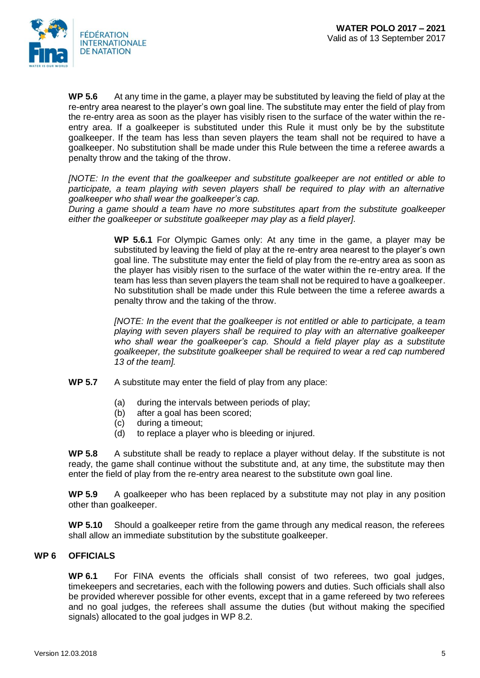

**WP 5.6** At any time in the game, a player may be substituted by leaving the field of play at the re-entry area nearest to the player's own goal line. The substitute may enter the field of play from the re-entry area as soon as the player has visibly risen to the surface of the water within the reentry area. If a goalkeeper is substituted under this Rule it must only be by the substitute goalkeeper. If the team has less than seven players the team shall not be required to have a goalkeeper. No substitution shall be made under this Rule between the time a referee awards a penalty throw and the taking of the throw.

*[NOTE: In the event that the goalkeeper and substitute goalkeeper are not entitled or able to*  participate, a team playing with seven players shall be required to play with an alternative *goalkeeper who shall wear the goalkeeper's cap.*

*During a game should a team have no more substitutes apart from the substitute goalkeeper either the goalkeeper or substitute goalkeeper may play as a field player].*

> **WP 5.6.1** For Olympic Games only: At any time in the game, a player may be substituted by leaving the field of play at the re-entry area nearest to the player's own goal line. The substitute may enter the field of play from the re-entry area as soon as the player has visibly risen to the surface of the water within the re-entry area. If the team has less than seven players the team shall not be required to have a goalkeeper. No substitution shall be made under this Rule between the time a referee awards a penalty throw and the taking of the throw.

> *[NOTE: In the event that the goalkeeper is not entitled or able to participate, a team playing with seven players shall be required to play with an alternative goalkeeper who shall wear the goalkeeper's cap. Should a field player play as a substitute goalkeeper, the substitute goalkeeper shall be required to wear a red cap numbered 13 of the team].*

- **WP 5.7** A substitute may enter the field of play from any place:
	- (a) during the intervals between periods of play;
	- (b) after a goal has been scored;
	- (c) during a timeout;
	- (d) to replace a player who is bleeding or injured.

**WP 5.8** A substitute shall be ready to replace a player without delay. If the substitute is not ready, the game shall continue without the substitute and, at any time, the substitute may then enter the field of play from the re-entry area nearest to the substitute own goal line.

**WP 5.9** A goalkeeper who has been replaced by a substitute may not play in any position other than goalkeeper.

**WP 5.10** Should a goalkeeper retire from the game through any medical reason, the referees shall allow an immediate substitution by the substitute goalkeeper.

## **WP 6 OFFICIALS**

**WP 6.1** For FINA events the officials shall consist of two referees, two goal judges, timekeepers and secretaries, each with the following powers and duties. Such officials shall also be provided wherever possible for other events, except that in a game refereed by two referees and no goal judges, the referees shall assume the duties (but without making the specified signals) allocated to the goal judges in WP 8.2.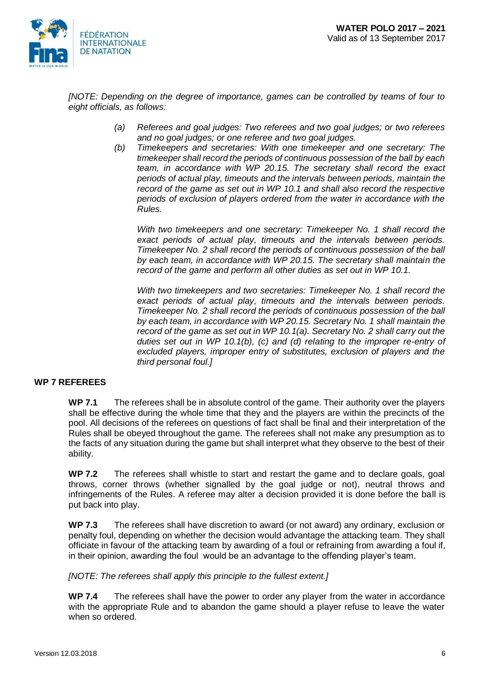

*[NOTE: Depending on the degree of importance, games can be controlled by teams of four to eight officials, as follows:* 

- *(a) Referees and goal judges: Two referees and two goal judges; or two referees and no goal judges; or one referee and two goal judges.*
- *(b) Timekeepers and secretaries: With one timekeeper and one secretary: The timekeeper shall record the periods of continuous possession of the ball by each team, in accordance with WP 20.15. The secretary shall record the exact periods of actual play, timeouts and the intervals between periods, maintain the record of the game as set out in WP 10.1 and shall also record the respective periods of exclusion of players ordered from the water in accordance with the Rules.*

*With two timekeepers and one secretary: Timekeeper No. 1 shall record the exact periods of actual play, timeouts and the intervals between periods. Timekeeper No. 2 shall record the periods of continuous possession of the ball by each team, in accordance with WP 20.15. The secretary shall maintain the record of the game and perform all other duties as set out in WP 10.1.* 

*With two timekeepers and two secretaries: Timekeeper No. 1 shall record the exact periods of actual play, timeouts and the intervals between periods. Timekeeper No. 2 shall record the periods of continuous possession of the ball by each team, in accordance with WP 20.15. Secretary No. 1 shall maintain the record of the game as set out in WP 10.1(a). Secretary No. 2 shall carry out the duties set out in WP 10.1(b), (c) and (d) relating to the improper re-entry of excluded players, improper entry of substitutes, exclusion of players and the third personal foul.]* 

## **WP 7 REFEREES**

**WP 7.1** The referees shall be in absolute control of the game. Their authority over the players shall be effective during the whole time that they and the players are within the precincts of the pool. All decisions of the referees on questions of fact shall be final and their interpretation of the Rules shall be obeyed throughout the game. The referees shall not make any presumption as to the facts of any situation during the game but shall interpret what they observe to the best of their ability.

**WP 7.2** The referees shall whistle to start and restart the game and to declare goals, goal throws, corner throws (whether signalled by the goal judge or not), neutral throws and infringements of the Rules. A referee may alter a decision provided it is done before the ball is put back into play.

**WP 7.3** The referees shall have discretion to award (or not award) any ordinary, exclusion or penalty foul, depending on whether the decision would advantage the attacking team. They shall officiate in favour of the attacking team by awarding of a foul or refraining from awarding a foul if, in their opinion, awarding the foul would be an advantage to the offending player's team.

*[NOTE: The referees shall apply this principle to the fullest extent.]* 

**WP 7.4** The referees shall have the power to order any player from the water in accordance with the appropriate Rule and to abandon the game should a player refuse to leave the water when so ordered.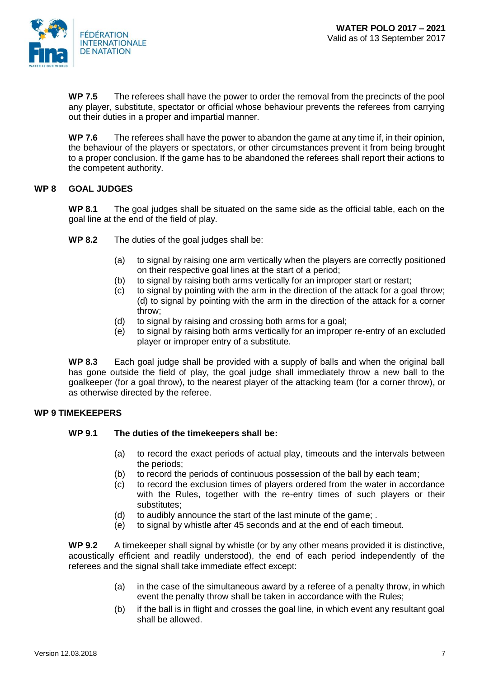

**WP 7.5** The referees shall have the power to order the removal from the precincts of the pool any player, substitute, spectator or official whose behaviour prevents the referees from carrying out their duties in a proper and impartial manner.

**WP 7.6** The referees shall have the power to abandon the game at any time if, in their opinion, the behaviour of the players or spectators, or other circumstances prevent it from being brought to a proper conclusion. If the game has to be abandoned the referees shall report their actions to the competent authority.

## **WP 8 GOAL JUDGES**

**WP 8.1** The goal judges shall be situated on the same side as the official table, each on the goal line at the end of the field of play.

- **WP 8.2** The duties of the goal judges shall be:
	- (a) to signal by raising one arm vertically when the players are correctly positioned on their respective goal lines at the start of a period;
	- (b) to signal by raising both arms vertically for an improper start or restart;
	- (c) to signal by pointing with the arm in the direction of the attack for a goal throw; (d) to signal by pointing with the arm in the direction of the attack for a corner throw;
	- (d) to signal by raising and crossing both arms for a goal;
	- (e) to signal by raising both arms vertically for an improper re-entry of an excluded player or improper entry of a substitute.

**WP 8.3** Each goal judge shall be provided with a supply of balls and when the original ball has gone outside the field of play, the goal judge shall immediately throw a new ball to the goalkeeper (for a goal throw), to the nearest player of the attacking team (for a corner throw), or as otherwise directed by the referee.

## **WP 9 TIMEKEEPERS**

## **WP 9.1 The duties of the timekeepers shall be:**

- (a) to record the exact periods of actual play, timeouts and the intervals between the periods;
- (b) to record the periods of continuous possession of the ball by each team;
- (c) to record the exclusion times of players ordered from the water in accordance with the Rules, together with the re-entry times of such players or their substitutes;
- (d) to audibly announce the start of the last minute of the game; .
- (e) to signal by whistle after 45 seconds and at the end of each timeout.

**WP 9.2** A timekeeper shall signal by whistle (or by any other means provided it is distinctive, acoustically efficient and readily understood), the end of each period independently of the referees and the signal shall take immediate effect except:

- (a) in the case of the simultaneous award by a referee of a penalty throw, in which event the penalty throw shall be taken in accordance with the Rules;
- (b) if the ball is in flight and crosses the goal line, in which event any resultant goal shall be allowed.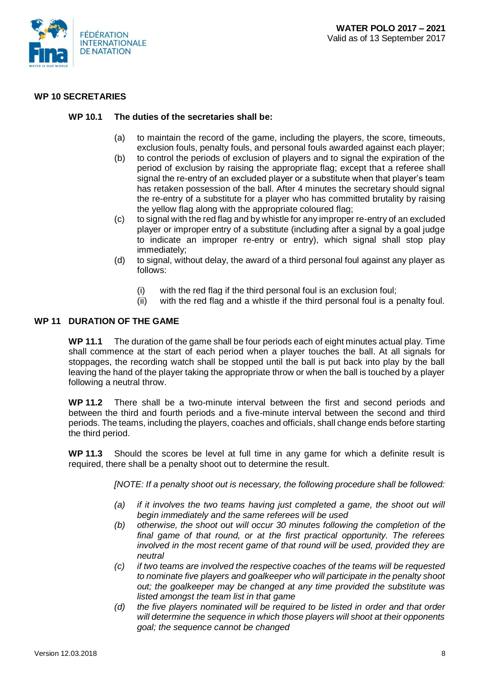

## **WP 10 SECRETARIES**

## **WP 10.1 The duties of the secretaries shall be:**

- (a) to maintain the record of the game, including the players, the score, timeouts, exclusion fouls, penalty fouls, and personal fouls awarded against each player;
- (b) to control the periods of exclusion of players and to signal the expiration of the period of exclusion by raising the appropriate flag; except that a referee shall signal the re-entry of an excluded player or a substitute when that player's team has retaken possession of the ball. After 4 minutes the secretary should signal the re-entry of a substitute for a player who has committed brutality by raising the yellow flag along with the appropriate coloured flag;
- (c) to signal with the red flag and by whistle for any improper re-entry of an excluded player or improper entry of a substitute (including after a signal by a goal judge to indicate an improper re-entry or entry), which signal shall stop play immediately;
- (d) to signal, without delay, the award of a third personal foul against any player as follows:
	- (i) with the red flag if the third personal foul is an exclusion foul;
	- (ii) with the red flag and a whistle if the third personal foul is a penalty foul.

## **WP 11 DURATION OF THE GAME**

**WP 11.1** The duration of the game shall be four periods each of eight minutes actual play. Time shall commence at the start of each period when a player touches the ball. At all signals for stoppages, the recording watch shall be stopped until the ball is put back into play by the ball leaving the hand of the player taking the appropriate throw or when the ball is touched by a player following a neutral throw.

**WP 11.2** There shall be a two-minute interval between the first and second periods and between the third and fourth periods and a five-minute interval between the second and third periods. The teams, including the players, coaches and officials, shall change ends before starting the third period.

**WP 11.3** Should the scores be level at full time in any game for which a definite result is required, there shall be a penalty shoot out to determine the result.

*[NOTE: If a penalty shoot out is necessary, the following procedure shall be followed:*

- (a) if it involves the two teams having just completed a game, the shoot out will *begin immediately and the same referees will be used*
- *(b) otherwise, the shoot out will occur 30 minutes following the completion of the final game of that round, or at the first practical opportunity. The referees involved in the most recent game of that round will be used, provided they are neutral*
- *(c) if two teams are involved the respective coaches of the teams will be requested to nominate five players and goalkeeper who will participate in the penalty shoot out; the goalkeeper may be changed at any time provided the substitute was listed amongst the team list in that game*
- *(d) the five players nominated will be required to be listed in order and that order will determine the sequence in which those players will shoot at their opponents goal; the sequence cannot be changed*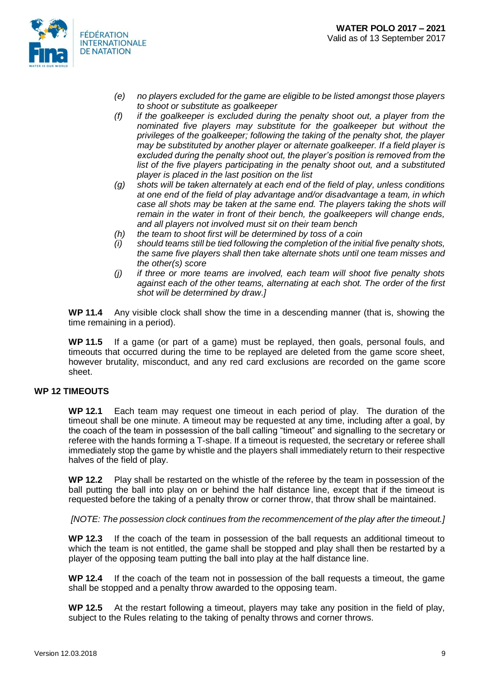

- *(e) no players excluded for the game are eligible to be listed amongst those players to shoot or substitute as goalkeeper*
- *(f) if the goalkeeper is excluded during the penalty shoot out, a player from the nominated five players may substitute for the goalkeeper but without the privileges of the goalkeeper; following the taking of the penalty shot, the player may be substituted by another player or alternate goalkeeper. If a field player is excluded during the penalty shoot out, the player's position is removed from the*  list of the five players participating in the penalty shoot out, and a substituted *player is placed in the last position on the list*
- *(g) shots will be taken alternately at each end of the field of play, unless conditions at one end of the field of play advantage and/or disadvantage a team, in which case all shots may be taken at the same end. The players taking the shots will remain in the water in front of their bench, the goalkeepers will change ends, and all players not involved must sit on their team bench*
- *(h) the team to shoot first will be determined by toss of a coin*
- *(i) should teams still be tied following the completion of the initial five penalty shots, the same five players shall then take alternate shots until one team misses and the other(s) score*
- *(j) if three or more teams are involved, each team will shoot five penalty shots against each of the other teams, alternating at each shot. The order of the first shot will be determined by draw.]*

**WP 11.4** Any visible clock shall show the time in a descending manner (that is, showing the time remaining in a period).

**WP 11.5** If a game (or part of a game) must be replayed, then goals, personal fouls, and timeouts that occurred during the time to be replayed are deleted from the game score sheet, however brutality, misconduct, and any red card exclusions are recorded on the game score sheet.

## **WP 12 TIMEOUTS**

**WP 12.1** Each team may request one timeout in each period of play. The duration of the timeout shall be one minute. A timeout may be requested at any time, including after a goal, by the coach of the team in possession of the ball calling "timeout" and signalling to the secretary or referee with the hands forming a T-shape. If a timeout is requested, the secretary or referee shall immediately stop the game by whistle and the players shall immediately return to their respective halves of the field of play.

**WP 12.2** Play shall be restarted on the whistle of the referee by the team in possession of the ball putting the ball into play on or behind the half distance line, except that if the timeout is requested before the taking of a penalty throw or corner throw, that throw shall be maintained.

*[NOTE: The possession clock continues from the recommencement of the play after the timeout.]* 

**WP 12.3** If the coach of the team in possession of the ball requests an additional timeout to which the team is not entitled, the game shall be stopped and play shall then be restarted by a player of the opposing team putting the ball into play at the half distance line.

**WP 12.4** If the coach of the team not in possession of the ball requests a timeout, the game shall be stopped and a penalty throw awarded to the opposing team.

**WP 12.5** At the restart following a timeout, players may take any position in the field of play, subject to the Rules relating to the taking of penalty throws and corner throws.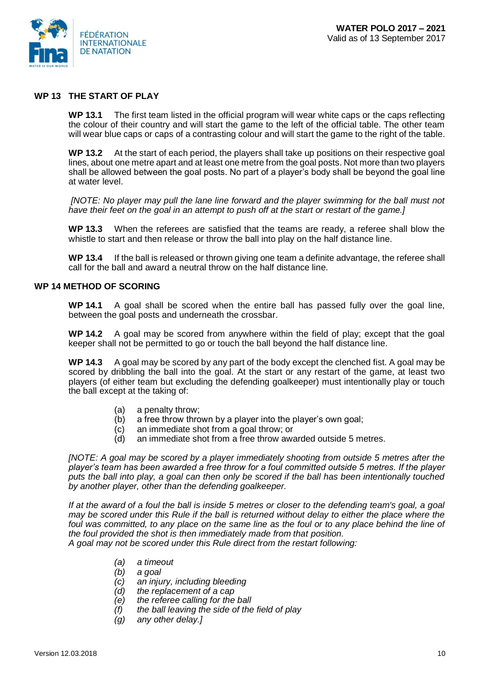

## **WP 13 THE START OF PLAY**

**WP 13.1** The first team listed in the official program will wear white caps or the caps reflecting the colour of their country and will start the game to the left of the official table. The other team will wear blue caps or caps of a contrasting colour and will start the game to the right of the table.

**WP 13.2** At the start of each period, the players shall take up positions on their respective goal lines, about one metre apart and at least one metre from the goal posts. Not more than two players shall be allowed between the goal posts. No part of a player's body shall be beyond the goal line at water level.

*[NOTE: No player may pull the lane line forward and the player swimming for the ball must not have their feet on the goal in an attempt to push off at the start or restart of the game.]* 

**WP 13.3** When the referees are satisfied that the teams are ready, a referee shall blow the whistle to start and then release or throw the ball into play on the half distance line.

**WP 13.4** If the ball is released or thrown giving one team a definite advantage, the referee shall call for the ball and award a neutral throw on the half distance line.

#### **WP 14 METHOD OF SCORING**

**WP 14.1** A goal shall be scored when the entire ball has passed fully over the goal line, between the goal posts and underneath the crossbar.

**WP 14.2** A goal may be scored from anywhere within the field of play; except that the goal keeper shall not be permitted to go or touch the ball beyond the half distance line.

**WP 14.3** A goal may be scored by any part of the body except the clenched fist. A goal may be scored by dribbling the ball into the goal. At the start or any restart of the game, at least two players (of either team but excluding the defending goalkeeper) must intentionally play or touch the ball except at the taking of:

- (a) a penalty throw;
- (b) a free throw thrown by a player into the player's own goal;
- (c) an immediate shot from a goal throw; or
- (d) an immediate shot from a free throw awarded outside 5 metres.

*[NOTE: A goal may be scored by a player immediately shooting from outside 5 metres after the player's team has been awarded a free throw for a foul committed outside 5 metres. If the player puts the ball into play, a goal can then only be scored if the ball has been intentionally touched by another player, other than the defending goalkeeper.* 

*If at the award of a foul the ball is inside 5 metres or closer to the defending team's goal, a goal may be scored under this Rule if the ball is returned without delay to either the place where the*  foul was committed, to any place on the same line as the foul or to any place behind the line of *the foul provided the shot is then immediately made from that position. A goal may not be scored under this Rule direct from the restart following:*

- *(a) a timeout*
- 
- *(b) a goal (c) an injury, including bleeding*
- *(d) the replacement of a cap*
- *(e) the referee calling for the ball*
- *(f) the ball leaving the side of the field of play*
- *(g) any other delay.]*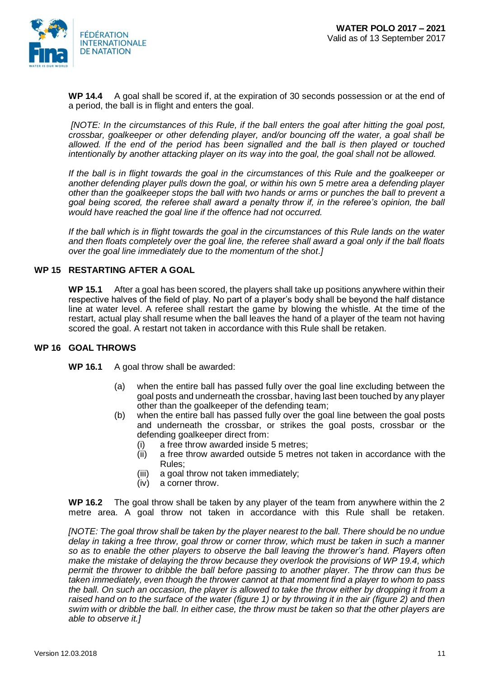

**WP 14.4** A goal shall be scored if, at the expiration of 30 seconds possession or at the end of a period, the ball is in flight and enters the goal.

*[NOTE: In the circumstances of this Rule, if the ball enters the goal after hitting the goal post, crossbar, goalkeeper or other defending player, and/or bouncing off the water, a goal shall be allowed. If the end of the period has been signalled and the ball is then played or touched intentionally by another attacking player on its way into the goal, the goal shall not be allowed.* 

*If the ball is in flight towards the goal in the circumstances of this Rule and the goalkeeper or another defending player pulls down the goal, or within his own 5 metre area a defending player other than the goalkeeper stops the ball with two hands or arms or punches the ball to prevent a goal being scored, the referee shall award a penalty throw if, in the referee's opinion, the ball would have reached the goal line if the offence had not occurred.* 

*If the ball which is in flight towards the goal in the circumstances of this Rule lands on the water and then floats completely over the goal line, the referee shall award a goal only if the ball floats over the goal line immediately due to the momentum of the shot.]* 

## **WP 15 RESTARTING AFTER A GOAL**

**WP 15.1** After a goal has been scored, the players shall take up positions anywhere within their respective halves of the field of play. No part of a player's body shall be beyond the half distance line at water level. A referee shall restart the game by blowing the whistle. At the time of the restart, actual play shall resume when the ball leaves the hand of a player of the team not having scored the goal. A restart not taken in accordance with this Rule shall be retaken.

#### **WP 16 GOAL THROWS**

**WP 16.1** A goal throw shall be awarded:

- (a) when the entire ball has passed fully over the goal line excluding between the goal posts and underneath the crossbar, having last been touched by any player other than the goalkeeper of the defending team;
- (b) when the entire ball has passed fully over the goal line between the goal posts and underneath the crossbar, or strikes the goal posts, crossbar or the defending goalkeeper direct from:
	- (i) a free throw awarded inside 5 metres;
	- (ii) a free throw awarded outside 5 metres not taken in accordance with the Rules;
	- (iii) a goal throw not taken immediately;
	- (iv) a corner throw.

**WP 16.2** The goal throw shall be taken by any player of the team from anywhere within the 2 metre area. A goal throw not taken in accordance with this Rule shall be retaken.

*[NOTE: The goal throw shall be taken by the player nearest to the ball. There should be no undue delay in taking a free throw, goal throw or corner throw, which must be taken in such a manner so as to enable the other players to observe the ball leaving the thrower's hand. Players often make the mistake of delaying the throw because they overlook the provisions of WP 19.4, which permit the thrower to dribble the ball before passing to another player. The throw can thus be taken immediately, even though the thrower cannot at that moment find a player to whom to pass the ball. On such an occasion, the player is allowed to take the throw either by dropping it from a raised hand on to the surface of the water (figure 1) or by throwing it in the air (figure 2) and then swim with or dribble the ball. In either case, the throw must be taken so that the other players are able to observe it.]*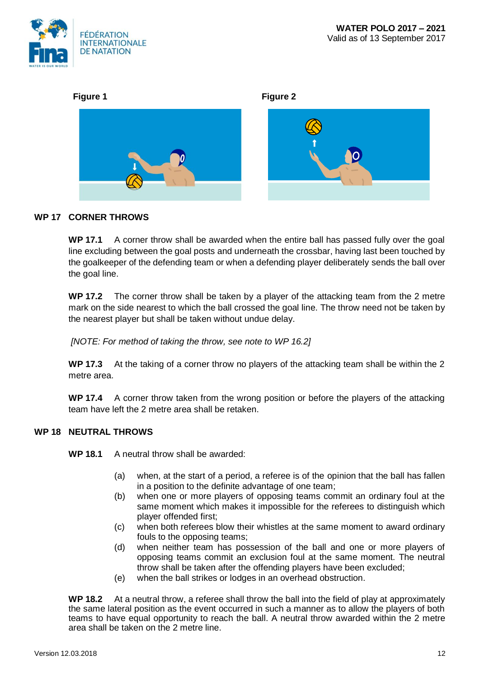



## **WP 17 CORNER THROWS**

**WP 17.1** A corner throw shall be awarded when the entire ball has passed fully over the goal line excluding between the goal posts and underneath the crossbar, having last been touched by the goalkeeper of the defending team or when a defending player deliberately sends the ball over the goal line.

**WP 17.2** The corner throw shall be taken by a player of the attacking team from the 2 metre mark on the side nearest to which the ball crossed the goal line. The throw need not be taken by the nearest player but shall be taken without undue delay.

## *[NOTE: For method of taking the throw, see note to WP 16.2]*

**WP 17.3** At the taking of a corner throw no players of the attacking team shall be within the 2 metre area.

**WP 17.4** A corner throw taken from the wrong position or before the players of the attacking team have left the 2 metre area shall be retaken.

## **WP 18 NEUTRAL THROWS**

**WP 18.1** A neutral throw shall be awarded:

- (a) when, at the start of a period, a referee is of the opinion that the ball has fallen in a position to the definite advantage of one team;
- (b) when one or more players of opposing teams commit an ordinary foul at the same moment which makes it impossible for the referees to distinguish which player offended first;
- (c) when both referees blow their whistles at the same moment to award ordinary fouls to the opposing teams;
- (d) when neither team has possession of the ball and one or more players of opposing teams commit an exclusion foul at the same moment. The neutral throw shall be taken after the offending players have been excluded;
- (e) when the ball strikes or lodges in an overhead obstruction.

**WP 18.2** At a neutral throw, a referee shall throw the ball into the field of play at approximately the same lateral position as the event occurred in such a manner as to allow the players of both teams to have equal opportunity to reach the ball. A neutral throw awarded within the 2 metre area shall be taken on the 2 metre line.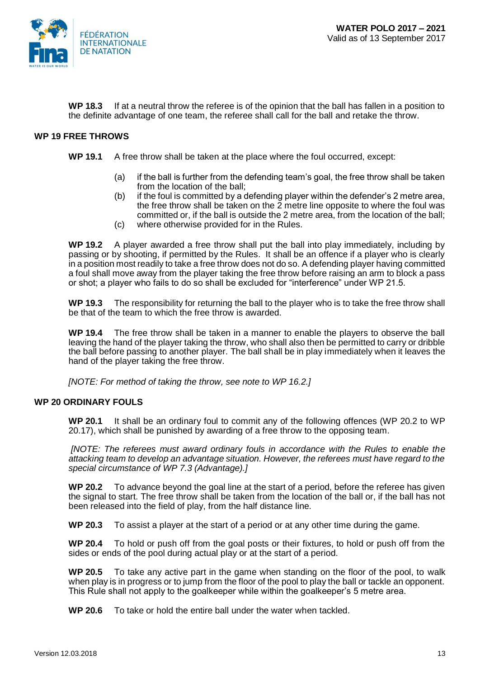

**WP 18.3** If at a neutral throw the referee is of the opinion that the ball has fallen in a position to the definite advantage of one team, the referee shall call for the ball and retake the throw.

### **WP 19 FREE THROWS**

- **WP 19.1** A free throw shall be taken at the place where the foul occurred, except:
	- (a) if the ball is further from the defending team's goal, the free throw shall be taken from the location of the ball;
	- (b) if the foul is committed by a defending player within the defender's 2 metre area, the free throw shall be taken on the 2 metre line opposite to where the foul was committed or, if the ball is outside the 2 metre area, from the location of the ball; (c) where otherwise provided for in the Rules.

**WP 19.2** A player awarded a free throw shall put the ball into play immediately, including by passing or by shooting, if permitted by the Rules. It shall be an offence if a player who is clearly in a position most readily to take a free throw does not do so. A defending player having committed a foul shall move away from the player taking the free throw before raising an arm to block a pass or shot; a player who fails to do so shall be excluded for "interference" under WP 21.5.

**WP 19.3** The responsibility for returning the ball to the player who is to take the free throw shall be that of the team to which the free throw is awarded.

**WP 19.4** The free throw shall be taken in a manner to enable the players to observe the ball leaving the hand of the player taking the throw, who shall also then be permitted to carry or dribble the ball before passing to another player. The ball shall be in play immediately when it leaves the hand of the player taking the free throw.

*[NOTE: For method of taking the throw, see note to WP 16.2.]* 

## **WP 20 ORDINARY FOULS**

**WP 20.1** It shall be an ordinary foul to commit any of the following offences (WP 20.2 to WP 20.17), which shall be punished by awarding of a free throw to the opposing team.

*[NOTE: The referees must award ordinary fouls in accordance with the Rules to enable the attacking team to develop an advantage situation. However, the referees must have regard to the special circumstance of WP 7.3 (Advantage).]* 

**WP 20.2** To advance beyond the goal line at the start of a period, before the referee has given the signal to start. The free throw shall be taken from the location of the ball or, if the ball has not been released into the field of play, from the half distance line.

**WP 20.3** To assist a player at the start of a period or at any other time during the game.

**WP 20.4** To hold or push off from the goal posts or their fixtures, to hold or push off from the sides or ends of the pool during actual play or at the start of a period.

**WP 20.5** To take any active part in the game when standing on the floor of the pool, to walk when play is in progress or to jump from the floor of the pool to play the ball or tackle an opponent. This Rule shall not apply to the goalkeeper while within the goalkeeper's 5 metre area.

**WP 20.6** To take or hold the entire ball under the water when tackled.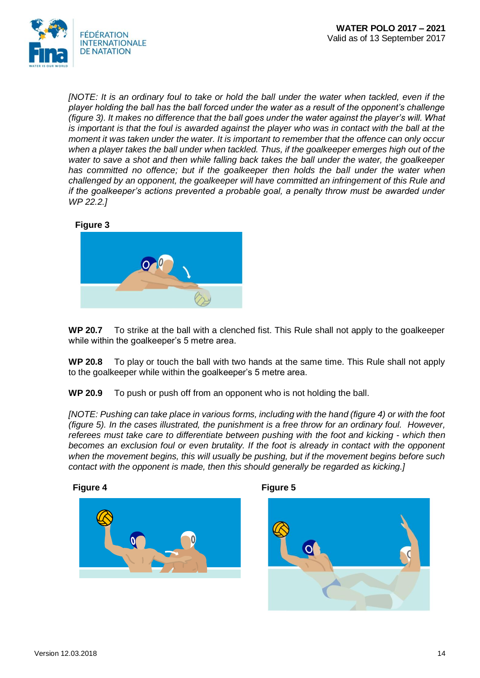

*[NOTE: It is an ordinary foul to take or hold the ball under the water when tackled, even if the player holding the ball has the ball forced under the water as a result of the opponent's challenge (figure 3). It makes no difference that the ball goes under the water against the player's will. What*  is important is that the foul is awarded against the player who was in contact with the ball at the *moment it was taken under the water. It is important to remember that the offence can only occur when a player takes the ball under when tackled. Thus, if the goalkeeper emerges high out of the water to save a shot and then while falling back takes the ball under the water, the goalkeeper*  has committed no offence; but if the goalkeeper then holds the ball under the water when *challenged by an opponent, the goalkeeper will have committed an infringement of this Rule and if the goalkeeper's actions prevented a probable goal, a penalty throw must be awarded under WP 22.2.]*

## **Figure 3**



**WP 20.7** To strike at the ball with a clenched fist. This Rule shall not apply to the goalkeeper while within the goalkeeper's 5 metre area.

**WP 20.8** To play or touch the ball with two hands at the same time. This Rule shall not apply to the goalkeeper while within the goalkeeper's 5 metre area.

**WP 20.9** To push or push off from an opponent who is not holding the ball.

*[NOTE: Pushing can take place in various forms, including with the hand (figure 4) or with the foot (figure 5). In the cases illustrated, the punishment is a free throw for an ordinary foul. However, referees must take care to differentiate between pushing with the foot and kicking - which then*  becomes an exclusion foul or even brutality. If the foot is already in contact with the opponent *when the movement begins, this will usually be pushing, but if the movement begins before such contact with the opponent is made, then this should generally be regarded as kicking.]* 





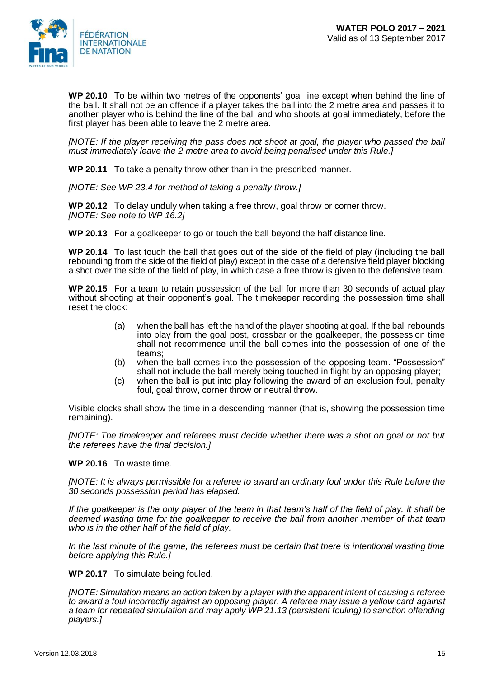

**WP 20.10** To be within two metres of the opponents' goal line except when behind the line of the ball. It shall not be an offence if a player takes the ball into the 2 metre area and passes it to another player who is behind the line of the ball and who shoots at goal immediately, before the first player has been able to leave the 2 metre area.

*[NOTE: If the player receiving the pass does not shoot at goal, the player who passed the ball must immediately leave the 2 metre area to avoid being penalised under this Rule.]* 

**WP 20.11** To take a penalty throw other than in the prescribed manner.

*[NOTE: See WP 23.4 for method of taking a penalty throw.]* 

**WP 20.12** To delay unduly when taking a free throw, goal throw or corner throw. *[NOTE: See note to WP 16.2]*

**WP 20.13** For a goalkeeper to go or touch the ball beyond the half distance line.

**WP 20.14** To last touch the ball that goes out of the side of the field of play (including the ball rebounding from the side of the field of play) except in the case of a defensive field player blocking a shot over the side of the field of play, in which case a free throw is given to the defensive team.

**WP 20.15** For a team to retain possession of the ball for more than 30 seconds of actual play without shooting at their opponent's goal. The time eper recording the possession time shall reset the clock:

- (a) when the ball has left the hand of the player shooting at goal. If the ball rebounds into play from the goal post, crossbar or the goalkeeper, the possession time shall not recommence until the ball comes into the possession of one of the teams;
- (b) when the ball comes into the possession of the opposing team. "Possession" shall not include the ball merely being touched in flight by an opposing player;
- (c) when the ball is put into play following the award of an exclusion foul, penalty foul, goal throw, corner throw or neutral throw.

Visible clocks shall show the time in a descending manner (that is, showing the possession time remaining).

*[NOTE: The timekeeper and referees must decide whether there was a shot on goal or not but the referees have the final decision.]*

**WP 20.16** To waste time.

*[NOTE: It is always permissible for a referee to award an ordinary foul under this Rule before the 30 seconds possession period has elapsed.*

*If the goalkeeper is the only player of the team in that team's half of the field of play, it shall be deemed wasting time for the goalkeeper to receive the ball from another member of that team who is in the other half of the field of play.*

*In the last minute of the game, the referees must be certain that there is intentional wasting time before applying this Rule.]*

**WP 20.17** To simulate being fouled.

*[NOTE: Simulation means an action taken by a player with the apparent intent of causing a referee to award a foul incorrectly against an opposing player. A referee may issue a yellow card against a team for repeated simulation and may apply WP 21.13 (persistent fouling) to sanction offending players.]*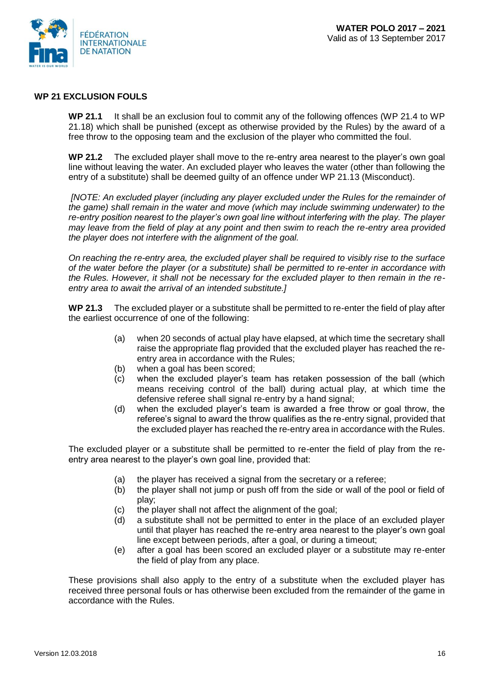

## **WP 21 EXCLUSION FOULS**

**WP 21.1** It shall be an exclusion foul to commit any of the following offences (WP 21.4 to WP 21.18) which shall be punished (except as otherwise provided by the Rules) by the award of a free throw to the opposing team and the exclusion of the player who committed the foul.

**WP 21.2** The excluded player shall move to the re-entry area nearest to the player's own goal line without leaving the water. An excluded player who leaves the water (other than following the entry of a substitute) shall be deemed guilty of an offence under WP 21.13 (Misconduct).

*[NOTE: An excluded player (including any player excluded under the Rules for the remainder of the game) shall remain in the water and move (which may include swimming underwater) to the re-entry position nearest to the player's own goal line without interfering with the play. The player may leave from the field of play at any point and then swim to reach the re-entry area provided the player does not interfere with the alignment of the goal.* 

*On reaching the re-entry area, the excluded player shall be required to visibly rise to the surface of the water before the player (or a substitute) shall be permitted to re-enter in accordance with the Rules. However, it shall not be necessary for the excluded player to then remain in the reentry area to await the arrival of an intended substitute.]*

**WP 21.3** The excluded player or a substitute shall be permitted to re-enter the field of play after the earliest occurrence of one of the following:

- (a) when 20 seconds of actual play have elapsed, at which time the secretary shall raise the appropriate flag provided that the excluded player has reached the reentry area in accordance with the Rules;
- (b) when a goal has been scored;
- (c) when the excluded player's team has retaken possession of the ball (which means receiving control of the ball) during actual play, at which time the defensive referee shall signal re-entry by a hand signal;
- (d) when the excluded player's team is awarded a free throw or goal throw, the referee's signal to award the throw qualifies as the re-entry signal, provided that the excluded player has reached the re-entry area in accordance with the Rules.

The excluded player or a substitute shall be permitted to re-enter the field of play from the reentry area nearest to the player's own goal line, provided that:

- (a) the player has received a signal from the secretary or a referee;
- (b) the player shall not jump or push off from the side or wall of the pool or field of play;
- (c) the player shall not affect the alignment of the goal;
- (d) a substitute shall not be permitted to enter in the place of an excluded player until that player has reached the re-entry area nearest to the player's own goal line except between periods, after a goal, or during a timeout;
- (e) after a goal has been scored an excluded player or a substitute may re-enter the field of play from any place.

These provisions shall also apply to the entry of a substitute when the excluded player has received three personal fouls or has otherwise been excluded from the remainder of the game in accordance with the Rules.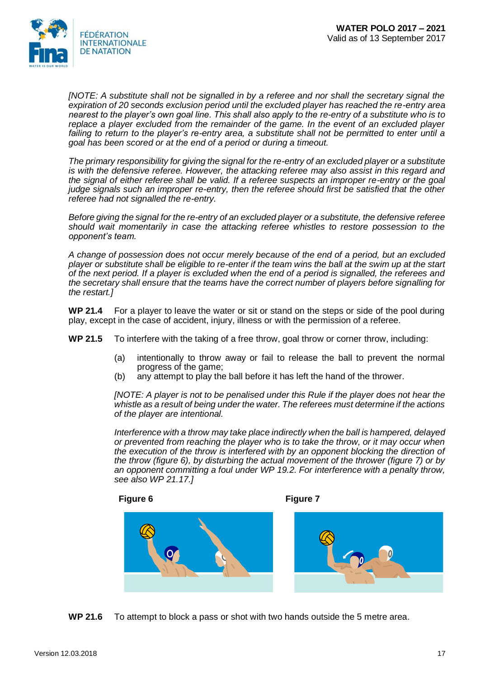

*[NOTE: A substitute shall not be signalled in by a referee and nor shall the secretary signal the expiration of 20 seconds exclusion period until the excluded player has reached the re-entry area nearest to the player's own goal line. This shall also apply to the re-entry of a substitute who is to replace a player excluded from the remainder of the game. In the event of an excluded player failing to return to the player's re-entry area, a substitute shall not be permitted to enter until a goal has been scored or at the end of a period or during a timeout.* 

*The primary responsibility for giving the signal for the re-entry of an excluded player or a substitute is with the defensive referee. However, the attacking referee may also assist in this regard and the signal of either referee shall be valid. If a referee suspects an improper re-entry or the goal judge signals such an improper re-entry, then the referee should first be satisfied that the other referee had not signalled the re-entry.* 

*Before giving the signal for the re-entry of an excluded player or a substitute, the defensive referee should wait momentarily in case the attacking referee whistles to restore possession to the opponent's team.* 

*A change of possession does not occur merely because of the end of a period, but an excluded player or substitute shall be eligible to re-enter if the team wins the ball at the swim up at the start of the next period. If a player is excluded when the end of a period is signalled, the referees and the secretary shall ensure that the teams have the correct number of players before signalling for the restart.]*

**WP 21.4** For a player to leave the water or sit or stand on the steps or side of the pool during play, except in the case of accident, injury, illness or with the permission of a referee.

**WP 21.5** To interfere with the taking of a free throw, goal throw or corner throw, including:

- (a) intentionally to throw away or fail to release the ball to prevent the normal progress of the game;
- (b) any attempt to play the ball before it has left the hand of the thrower.

*[NOTE: A player is not to be penalised under this Rule if the player does not hear the whistle as a result of being under the water. The referees must determine if the actions of the player are intentional.* 

*Interference with a throw may take place indirectly when the ball is hampered, delayed or prevented from reaching the player who is to take the throw, or it may occur when the execution of the throw is interfered with by an opponent blocking the direction of the throw (figure 6), by disturbing the actual movement of the thrower (figure 7) or by*  an opponent committing a foul under WP 19.2. For interference with a penalty throw, *see also WP 21.17.]*



**WP 21.6** To attempt to block a pass or shot with two hands outside the 5 metre area.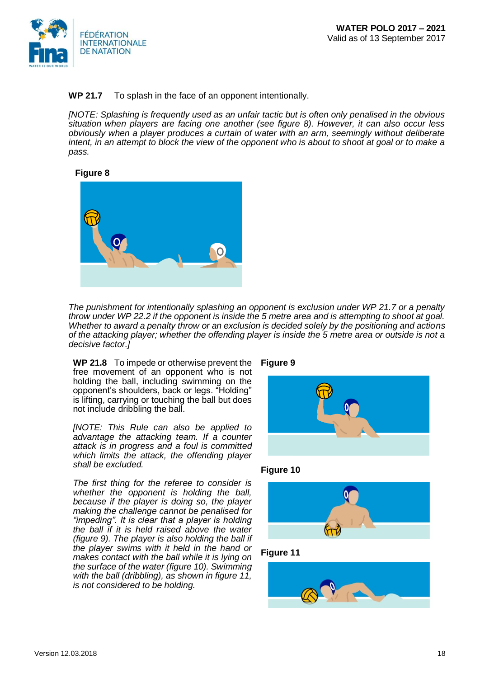

## **WP 21.7** To splash in the face of an opponent intentionally.

*[NOTE: Splashing is frequently used as an unfair tactic but is often only penalised in the obvious situation when players are facing one another (see figure 8). However, it can also occur less obviously when a player produces a curtain of water with an arm, seemingly without deliberate intent, in an attempt to block the view of the opponent who is about to shoot at goal or to make a pass.* 

**Figure 8**



*The punishment for intentionally splashing an opponent is exclusion under WP 21.7 or a penalty throw under WP 22.2 if the opponent is inside the 5 metre area and is attempting to shoot at goal. Whether to award a penalty throw or an exclusion is decided solely by the positioning and actions of the attacking player; whether the offending player is inside the 5 metre area or outside is not a decisive factor.]*

**WP 21.8** To impede or otherwise prevent the **Figure 9** free movement of an opponent who is not holding the ball, including swimming on the opponent's shoulders, back or legs. "Holding" is lifting, carrying or touching the ball but does not include dribbling the ball.

*[NOTE: This Rule can also be applied to advantage the attacking team. If a counter attack is in progress and a foul is committed which limits the attack, the offending player shall be excluded.* 

*The first thing for the referee to consider is whether the opponent is holding the ball, because if the player is doing so, the player making the challenge cannot be penalised for "impeding". It is clear that a player is holding the ball if it is held raised above the water (figure 9). The player is also holding the ball if the player swims with it held in the hand or makes contact with the ball while it is lying on the surface of the water (figure 10). Swimming with the ball (dribbling), as shown in figure 11, is not considered to be holding.* 









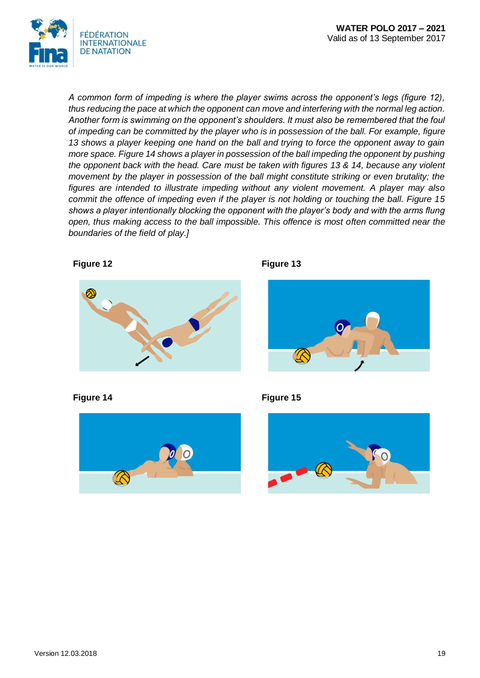

*A common form of impeding is where the player swims across the opponent's legs (figure 12), thus reducing the pace at which the opponent can move and interfering with the normal leg action. Another form is swimming on the opponent's shoulders. It must also be remembered that the foul of impeding can be committed by the player who is in possession of the ball. For example, figure 13 shows a player keeping one hand on the ball and trying to force the opponent away to gain more space. Figure 14 shows a player in possession of the ball impeding the opponent by pushing the opponent back with the head. Care must be taken with figures 13 & 14, because any violent movement by the player in possession of the ball might constitute striking or even brutality; the figures are intended to illustrate impeding without any violent movement. A player may also commit the offence of impeding even if the player is not holding or touching the ball. Figure 15 shows a player intentionally blocking the opponent with the player's body and with the arms flung open, thus making access to the ball impossible. This offence is most often committed near the boundaries of the field of play.]*

## **Figure 12 Figure 13**









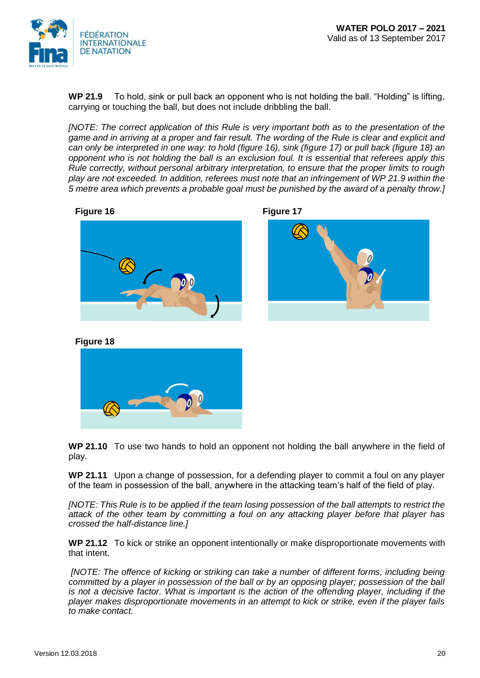

**WP 21.9** To hold, sink or pull back an opponent who is not holding the ball. "Holding" is lifting, carrying or touching the ball, but does not include dribbling the ball.

*[NOTE: The correct application of this Rule is very important both as to the presentation of the game and in arriving at a proper and fair result. The wording of the Rule is clear and explicit and can only be interpreted in one way: to hold (figure 16), sink (figure 17) or pull back (figure 18) an opponent who is not holding the ball is an exclusion foul. It is essential that referees apply this Rule correctly, without personal arbitrary interpretation, to ensure that the proper limits to rough play are not exceeded. In addition, referees must note that an infringement of WP 21.9 within the 5 metre area which prevents a probable goal must be punished by the award of a penalty throw.]* 







**Figure 18**



**WP 21.10** To use two hands to hold an opponent not holding the ball anywhere in the field of play.

**WP 21.11** Upon a change of possession, for a defending player to commit a foul on any player of the team in possession of the ball, anywhere in the attacking team's half of the field of play.

*[NOTE: This Rule is to be applied if the team losing possession of the ball attempts to restrict the attack of the other team by committing a foul on any attacking player before that player has crossed the half-distance line.]*

**WP 21.12** To kick or strike an opponent intentionally or make disproportionate movements with that intent.

*[NOTE: The offence of kicking or striking can take a number of different forms, including being committed by a player in possession of the ball or by an opposing player; possession of the ball is not a decisive factor. What is important is the action of the offending player, including if the player makes disproportionate movements in an attempt to kick or strike, even if the player fails to make contact.*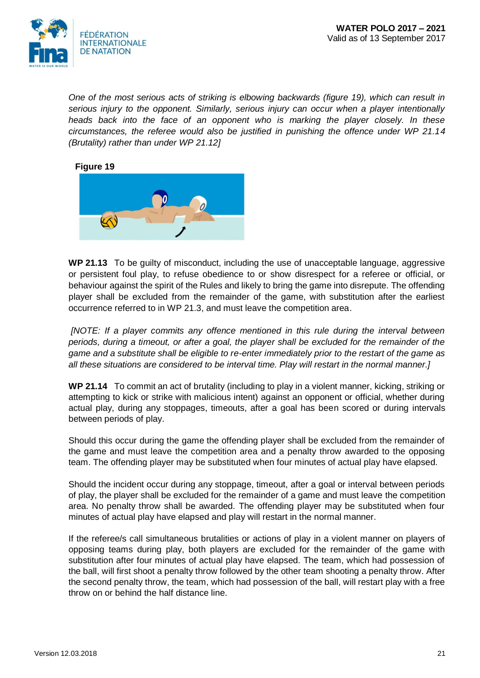

*One of the most serious acts of striking is elbowing backwards (figure 19), which can result in serious injury to the opponent. Similarly, serious injury can occur when a player intentionally heads back into the face of an opponent who is marking the player closely. In these circumstances, the referee would also be justified in punishing the offence under WP 21.14 (Brutality) rather than under WP 21.12]*



**WP 21.13** To be guilty of misconduct, including the use of unacceptable language, aggressive or persistent foul play, to refuse obedience to or show disrespect for a referee or official, or behaviour against the spirit of the Rules and likely to bring the game into disrepute. The offending player shall be excluded from the remainder of the game, with substitution after the earliest occurrence referred to in WP 21.3, and must leave the competition area.

*[NOTE: If a player commits any offence mentioned in this rule during the interval between periods, during a timeout, or after a goal, the player shall be excluded for the remainder of the game and a substitute shall be eligible to re-enter immediately prior to the restart of the game as all these situations are considered to be interval time. Play will restart in the normal manner.]* 

**WP 21.14** To commit an act of brutality (including to play in a violent manner, kicking, striking or attempting to kick or strike with malicious intent) against an opponent or official, whether during actual play, during any stoppages, timeouts, after a goal has been scored or during intervals between periods of play.

Should this occur during the game the offending player shall be excluded from the remainder of the game and must leave the competition area and a penalty throw awarded to the opposing team. The offending player may be substituted when four minutes of actual play have elapsed.

Should the incident occur during any stoppage, timeout, after a goal or interval between periods of play, the player shall be excluded for the remainder of a game and must leave the competition area. No penalty throw shall be awarded. The offending player may be substituted when four minutes of actual play have elapsed and play will restart in the normal manner.

If the referee/s call simultaneous brutalities or actions of play in a violent manner on players of opposing teams during play, both players are excluded for the remainder of the game with substitution after four minutes of actual play have elapsed. The team, which had possession of the ball, will first shoot a penalty throw followed by the other team shooting a penalty throw. After the second penalty throw, the team, which had possession of the ball, will restart play with a free throw on or behind the half distance line.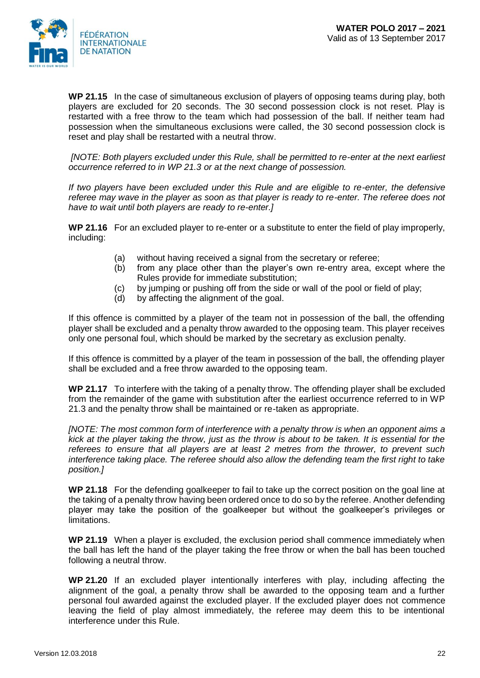

**WP 21.15** In the case of simultaneous exclusion of players of opposing teams during play, both players are excluded for 20 seconds. The 30 second possession clock is not reset. Play is restarted with a free throw to the team which had possession of the ball. If neither team had possession when the simultaneous exclusions were called, the 30 second possession clock is reset and play shall be restarted with a neutral throw.

*[NOTE: Both players excluded under this Rule, shall be permitted to re-enter at the next earliest occurrence referred to in WP 21.3 or at the next change of possession.* 

*If two players have been excluded under this Rule and are eligible to re-enter, the defensive referee may wave in the player as soon as that player is ready to re-enter. The referee does not have to wait until both players are ready to re-enter.]*

**WP 21.16** For an excluded player to re-enter or a substitute to enter the field of play improperly, including:

- (a) without having received a signal from the secretary or referee;
- (b) from any place other than the player's own re-entry area, except where the Rules provide for immediate substitution;
- (c) by jumping or pushing off from the side or wall of the pool or field of play;
- (d) by affecting the alignment of the goal.

If this offence is committed by a player of the team not in possession of the ball, the offending player shall be excluded and a penalty throw awarded to the opposing team. This player receives only one personal foul, which should be marked by the secretary as exclusion penalty.

If this offence is committed by a player of the team in possession of the ball, the offending player shall be excluded and a free throw awarded to the opposing team.

**WP 21.17** To interfere with the taking of a penalty throw. The offending player shall be excluded from the remainder of the game with substitution after the earliest occurrence referred to in WP 21.3 and the penalty throw shall be maintained or re-taken as appropriate.

*[NOTE: The most common form of interference with a penalty throw is when an opponent aims a kick at the player taking the throw, just as the throw is about to be taken. It is essential for the referees to ensure that all players are at least 2 metres from the thrower, to prevent such interference taking place. The referee should also allow the defending team the first right to take position.]*

**WP 21.18** For the defending goalkeeper to fail to take up the correct position on the goal line at the taking of a penalty throw having been ordered once to do so by the referee. Another defending player may take the position of the goalkeeper but without the goalkeeper's privileges or limitations.

**WP 21.19** When a player is excluded, the exclusion period shall commence immediately when the ball has left the hand of the player taking the free throw or when the ball has been touched following a neutral throw.

**WP 21.20** If an excluded player intentionally interferes with play, including affecting the alignment of the goal, a penalty throw shall be awarded to the opposing team and a further personal foul awarded against the excluded player. If the excluded player does not commence leaving the field of play almost immediately, the referee may deem this to be intentional interference under this Rule.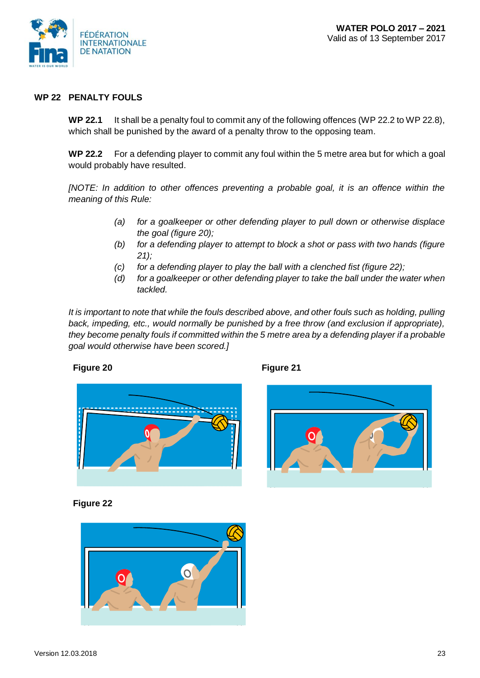

## **WP 22 PENALTY FOULS**

**WP 22.1** It shall be a penalty foul to commit any of the following offences (WP 22.2 to WP 22.8), which shall be punished by the award of a penalty throw to the opposing team.

**WP 22.2** For a defending player to commit any foul within the 5 metre area but for which a goal would probably have resulted.

*[NOTE: In addition to other offences preventing a probable goal, it is an offence within the meaning of this Rule:*

- *(a) for a goalkeeper or other defending player to pull down or otherwise displace the goal (figure 20);*
- *(b) for a defending player to attempt to block a shot or pass with two hands (figure 21);*
- *(c) for a defending player to play the ball with a clenched fist (figure 22);*
- *(d) for a goalkeeper or other defending player to take the ball under the water when tackled.*

*It is important to note that while the fouls described above, and other fouls such as holding, pulling*  back, impeding, etc., would normally be punished by a free throw (and exclusion if appropriate), *they become penalty fouls if committed within the 5 metre area by a defending player if a probable goal would otherwise have been scored.]* 

## **Figure 20 Figure 21**







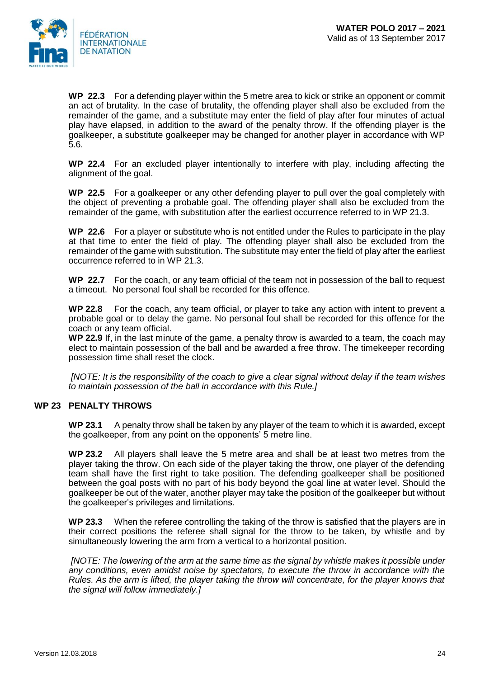

**WP 22.3** For a defending player within the 5 metre area to kick or strike an opponent or commit an act of brutality. In the case of brutality, the offending player shall also be excluded from the remainder of the game, and a substitute may enter the field of play after four minutes of actual play have elapsed, in addition to the award of the penalty throw. If the offending player is the goalkeeper, a substitute goalkeeper may be changed for another player in accordance with WP 5.6.

**WP 22.4** For an excluded player intentionally to interfere with play, including affecting the alignment of the goal.

**WP 22.5** For a goalkeeper or any other defending player to pull over the goal completely with the object of preventing a probable goal. The offending player shall also be excluded from the remainder of the game, with substitution after the earliest occurrence referred to in WP 21.3.

**WP 22.6** For a player or substitute who is not entitled under the Rules to participate in the play at that time to enter the field of play. The offending player shall also be excluded from the remainder of the game with substitution. The substitute may enter the field of play after the earliest occurrence referred to in WP 21.3.

**WP 22.7** For the coach, or any team official of the team not in possession of the ball to request a timeout. No personal foul shall be recorded for this offence.

**WP 22.8** For the coach, any team official, or player to take any action with intent to prevent a probable goal or to delay the game. No personal foul shall be recorded for this offence for the coach or any team official.

**WP 22.9** If, in the last minute of the game, a penalty throw is awarded to a team, the coach may elect to maintain possession of the ball and be awarded a free throw. The timekeeper recording possession time shall reset the clock.

*[NOTE: It is the responsibility of the coach to give a clear signal without delay if the team wishes to maintain possession of the ball in accordance with this Rule.]*

## **WP 23 PENALTY THROWS**

**WP 23.1** A penalty throw shall be taken by any player of the team to which it is awarded, except the goalkeeper, from any point on the opponents' 5 metre line.

**WP 23.2** All players shall leave the 5 metre area and shall be at least two metres from the player taking the throw. On each side of the player taking the throw, one player of the defending team shall have the first right to take position. The defending goalkeeper shall be positioned between the goal posts with no part of his body beyond the goal line at water level. Should the goalkeeper be out of the water, another player may take the position of the goalkeeper but without the goalkeeper's privileges and limitations.

**WP 23.3** When the referee controlling the taking of the throw is satisfied that the players are in their correct positions the referee shall signal for the throw to be taken, by whistle and by simultaneously lowering the arm from a vertical to a horizontal position.

*[NOTE: The lowering of the arm at the same time as the signal by whistle makes it possible under any conditions, even amidst noise by spectators, to execute the throw in accordance with the Rules. As the arm is lifted, the player taking the throw will concentrate, for the player knows that the signal will follow immediately.]*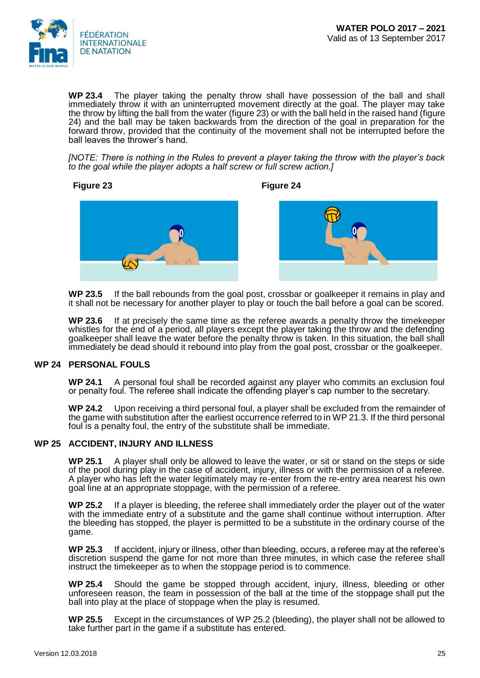

**WP 23.4** The player taking the penalty throw shall have possession of the ball and shall immediately throw it with an uninterrupted movement directly at the goal. The player may take the throw by lifting the ball from the water (figure 23) or with the ball held in the raised hand (figure 24) and the ball may be taken backwards from the direction of the goal in preparation for the forward throw, provided that the continuity of the movement shall not be interrupted before the ball leaves the thrower's hand.

*[NOTE: There is nothing in the Rules to prevent a player taking the throw with the player's back to the goal while the player adopts a half screw or full screw action.]*

## **Figure 23 Figure 24**





**WP 23.5** If the ball rebounds from the goal post, crossbar or goalkeeper it remains in play and it shall not be necessary for another player to play or touch the ball before a goal can be scored.

**WP 23.6** If at precisely the same time as the referee awards a penalty throw the timekeeper whistles for the end of a period, all players except the player taking the throw and the defending goalkeeper shall leave the water before the penalty throw is taken. In this situation, the ball shall immediately be dead should it rebound into play from the goal post, crossbar or the goalkeeper.

#### **WP 24 PERSONAL FOULS**

**WP 24.1** A personal foul shall be recorded against any player who commits an exclusion foul or penalty foul. The referee shall indicate the offending player's cap number to the secretary.

**WP 24.2** Upon receiving a third personal foul, a player shall be excluded from the remainder of the game with substitution after the earliest occurrence referred to in WP 21.3. If the third personal foul is a penalty foul, the entry of the substitute shall be immediate.

#### **WP 25 ACCIDENT, INJURY AND ILLNESS**

**WP 25.1** A player shall only be allowed to leave the water, or sit or stand on the steps or side of the pool during play in the case of accident, injury, illness or with the permission of a referee. A player who has left the water legitimately may re-enter from the re-entry area nearest his own goal line at an appropriate stoppage, with the permission of a referee.

**WP 25.2** If a player is bleeding, the referee shall immediately order the player out of the water with the immediate entry of a substitute and the game shall continue without interruption. After the bleeding has stopped, the player is permitted to be a substitute in the ordinary course of the game.

**WP 25.3** If accident, injury or illness, other than bleeding, occurs, a referee may at the referee's discretion suspend the game for not more than three minutes, in which case the referee shall instruct the timekeeper as to when the stoppage period is to commence.

**WP 25.4** Should the game be stopped through accident, injury, illness, bleeding or other unforeseen reason, the team in possession of the ball at the time of the stoppage shall put the ball into play at the place of stoppage when the play is resumed.

**WP 25.5** Except in the circumstances of WP 25.2 (bleeding), the player shall not be allowed to take further part in the game if a substitute has entered.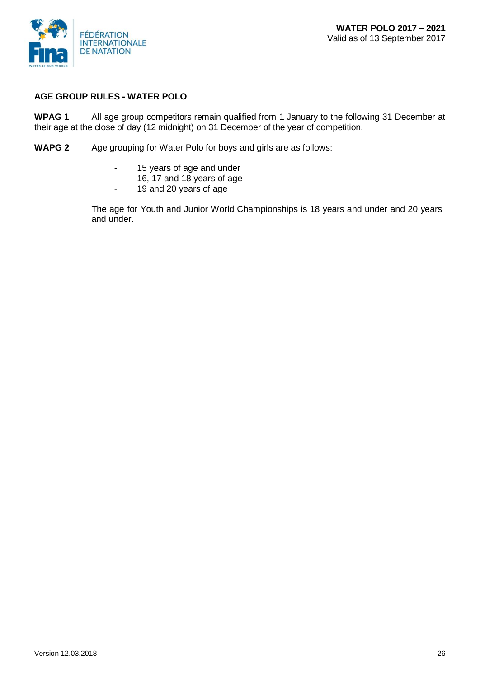

## **AGE GROUP RULES - WATER POLO**

**WPAG 1** All age group competitors remain qualified from 1 January to the following 31 December at their age at the close of day (12 midnight) on 31 December of the year of competition.

**WAPG 2** Age grouping for Water Polo for boys and girls are as follows:

- 15 years of age and under
- 16, 17 and 18 years of age
- 19 and 20 years of age

The age for Youth and Junior World Championships is 18 years and under and 20 years and under.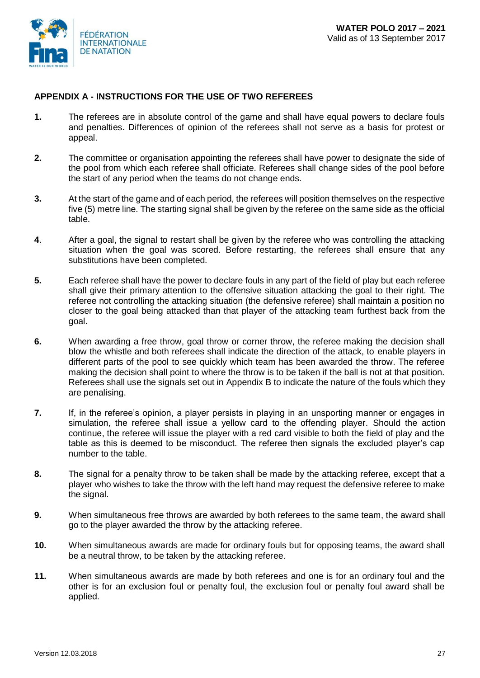

## **APPENDIX A - INSTRUCTIONS FOR THE USE OF TWO REFEREES**

- **1.** The referees are in absolute control of the game and shall have equal powers to declare fouls and penalties. Differences of opinion of the referees shall not serve as a basis for protest or appeal.
- **2.** The committee or organisation appointing the referees shall have power to designate the side of the pool from which each referee shall officiate. Referees shall change sides of the pool before the start of any period when the teams do not change ends.
- **3.** At the start of the game and of each period, the referees will position themselves on the respective five (5) metre line. The starting signal shall be given by the referee on the same side as the official table.
- **4**. After a goal, the signal to restart shall be given by the referee who was controlling the attacking situation when the goal was scored. Before restarting, the referees shall ensure that any substitutions have been completed.
- **5.** Each referee shall have the power to declare fouls in any part of the field of play but each referee shall give their primary attention to the offensive situation attacking the goal to their right. The referee not controlling the attacking situation (the defensive referee) shall maintain a position no closer to the goal being attacked than that player of the attacking team furthest back from the goal.
- **6.** When awarding a free throw, goal throw or corner throw, the referee making the decision shall blow the whistle and both referees shall indicate the direction of the attack, to enable players in different parts of the pool to see quickly which team has been awarded the throw. The referee making the decision shall point to where the throw is to be taken if the ball is not at that position. Referees shall use the signals set out in Appendix B to indicate the nature of the fouls which they are penalising.
- **7.** If, in the referee's opinion, a player persists in playing in an unsporting manner or engages in simulation, the referee shall issue a yellow card to the offending player. Should the action continue, the referee will issue the player with a red card visible to both the field of play and the table as this is deemed to be misconduct. The referee then signals the excluded player's cap number to the table.
- **8.** The signal for a penalty throw to be taken shall be made by the attacking referee, except that a player who wishes to take the throw with the left hand may request the defensive referee to make the signal.
- **9.** When simultaneous free throws are awarded by both referees to the same team, the award shall go to the player awarded the throw by the attacking referee.
- **10.** When simultaneous awards are made for ordinary fouls but for opposing teams, the award shall be a neutral throw, to be taken by the attacking referee.
- **11.** When simultaneous awards are made by both referees and one is for an ordinary foul and the other is for an exclusion foul or penalty foul, the exclusion foul or penalty foul award shall be applied.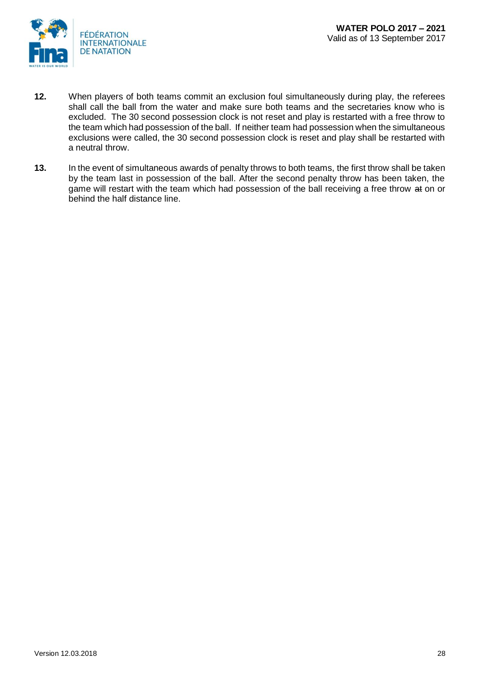

- **12.** When players of both teams commit an exclusion foul simultaneously during play, the referees shall call the ball from the water and make sure both teams and the secretaries know who is excluded. The 30 second possession clock is not reset and play is restarted with a free throw to the team which had possession of the ball. If neither team had possession when the simultaneous exclusions were called, the 30 second possession clock is reset and play shall be restarted with a neutral throw.
- **13.** In the event of simultaneous awards of penalty throws to both teams, the first throw shall be taken by the team last in possession of the ball. After the second penalty throw has been taken, the game will restart with the team which had possession of the ball receiving a free throw at on or behind the half distance line.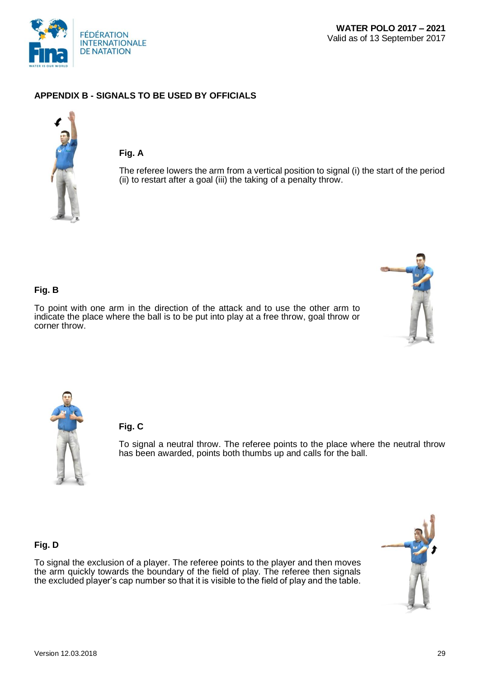

## **APPENDIX B - SIGNALS TO BE USED BY OFFICIALS**



## **Fig. A**

The referee lowers the arm from a vertical position to signal (i) the start of the period (ii) to restart after a goal (iii) the taking of a penalty throw.

### **Fig. B**

To point with one arm in the direction of the attack and to use the other arm to indicate the place where the ball is to be put into play at a free throw, goal throw or corner throw.





**Fig. C**

To signal a neutral throw. The referee points to the place where the neutral throw has been awarded, points both thumbs up and calls for the ball.

## **Fig. D**

To signal the exclusion of a player. The referee points to the player and then moves the arm quickly towards the boundary of the field of play. The referee then signals the excluded player's cap number so that it is visible to the field of play and the table.

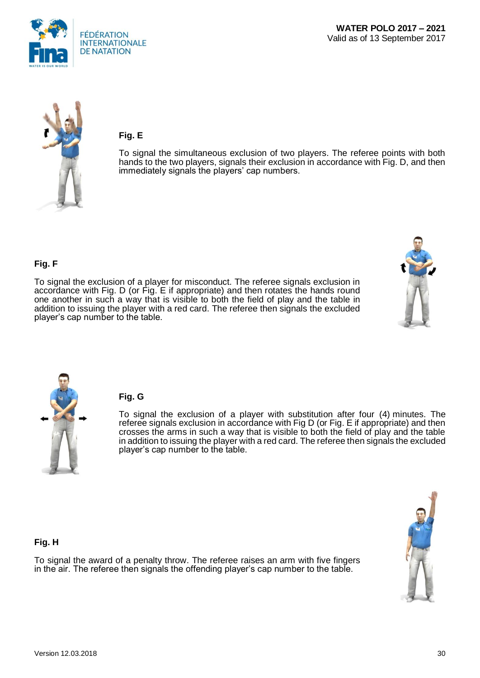



## **Fig. E**

To signal the simultaneous exclusion of two players. The referee points with both hands to the two players, signals their exclusion in accordance with Fig. D, and then immediately signals the players' cap numbers.

## **Fig. F**

To signal the exclusion of a player for misconduct. The referee signals exclusion in accordance with Fig. D (or Fig. E if appropriate) and then rotates the hands round one another in such a way that is visible to both the field of play and the table in addition to issuing the player with a red card. The referee then signals the excluded player's cap number to the table.





**Fig. G**

To signal the exclusion of a player with substitution after four (4) minutes. The referee signals exclusion in accordance with Fig D (or Fig. E if appropriate) and then crosses the arms in such a way that is visible to both the field of play and the table in addition to issuing the player with a red card. The referee then signals the excluded player's cap number to the table.

#### **Fig. H**

To signal the award of a penalty throw. The referee raises an arm with five fingers in the air. The referee then signals the offending player's cap number to the table.

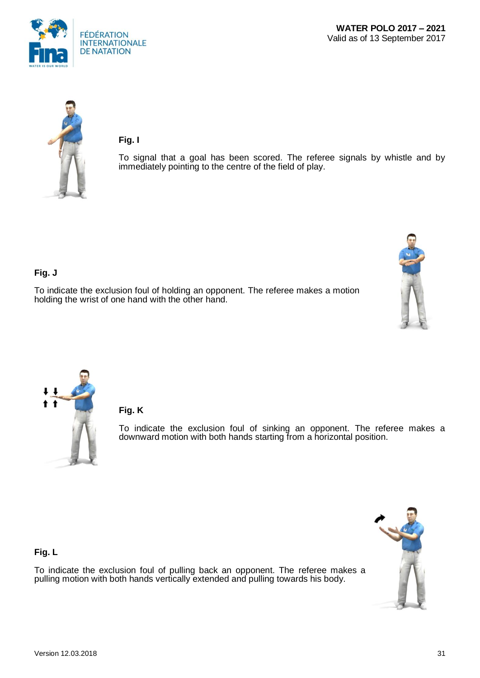



**Fig. I** 

To signal that a goal has been scored. The referee signals by whistle and by immediately pointing to the centre of the field of play.

## **Fig. J**

To indicate the exclusion foul of holding an opponent. The referee makes a motion holding the wrist of one hand with the other hand.





**Fig. K** 

To indicate the exclusion foul of sinking an opponent. The referee makes a downward motion with both hands starting from a horizontal position.

**Fig. L**

To indicate the exclusion foul of pulling back an opponent. The referee makes a pulling motion with both hands vertically extended and pulling towards his body.

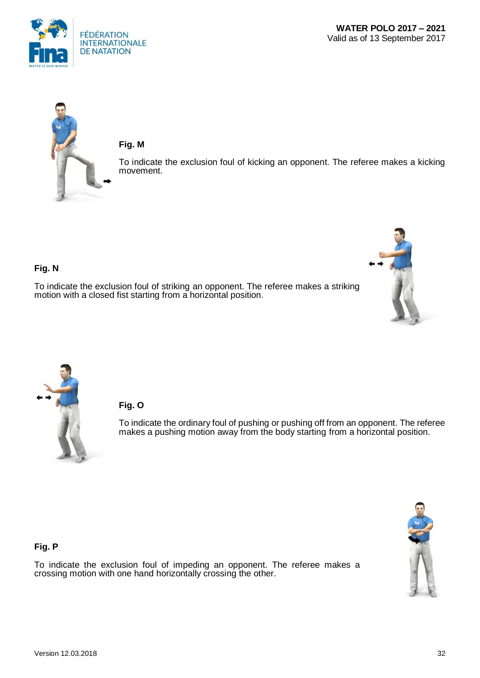





#### **Fig. M**

To indicate the exclusion foul of kicking an opponent. The referee makes a kicking movement.

## **Fig. N**

To indicate the exclusion foul of striking an opponent. The referee makes a striking motion with a closed fist starting from a horizontal position.





**Fig. O**

To indicate the ordinary foul of pushing or pushing off from an opponent. The referee makes a pushing motion away from the body starting from a horizontal position.

## **Fig. P**

To indicate the exclusion foul of impeding an opponent. The referee makes a crossing motion with one hand horizontally crossing the other.

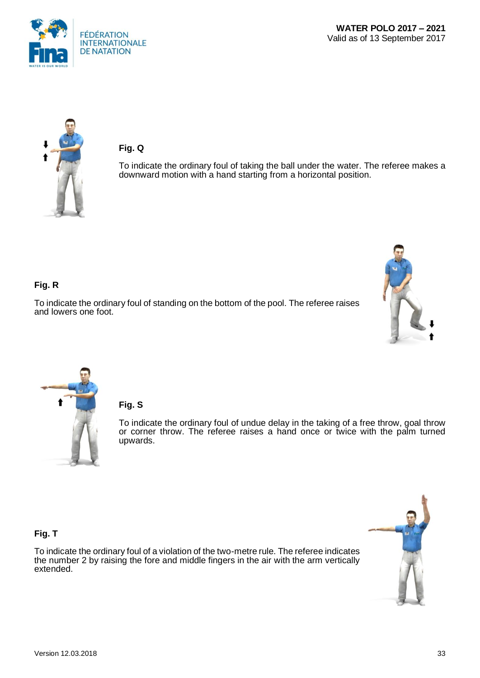



**Fig. Q**

To indicate the ordinary foul of taking the ball under the water. The referee makes a downward motion with a hand starting from a horizontal position.

## **Fig. R**

To indicate the ordinary foul of standing on the bottom of the pool. The referee raises and lowers one foot.





## **Fig. S**

To indicate the ordinary foul of undue delay in the taking of a free throw, goal throw or corner throw. The referee raises a hand once or twice with the palm turned upwards.

## **Fig. T**

To indicate the ordinary foul of a violation of the two-metre rule. The referee indicates the number 2 by raising the fore and middle fingers in the air with the arm vertically extended.

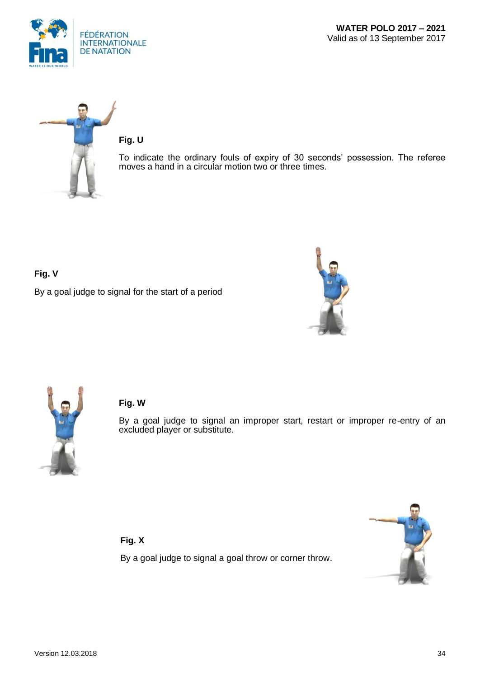



**Fig. U**

To indicate the ordinary fouls of expiry of 30 seconds' possession. The referee moves a hand in a circular motion two or three times.

**Fig. V**

By a goal judge to signal for the start of a period





**Fig. W**

By a goal judge to signal an improper start, restart or improper re-entry of an excluded player or substitute.

**Fig. X** By a goal judge to signal a goal throw or corner throw.

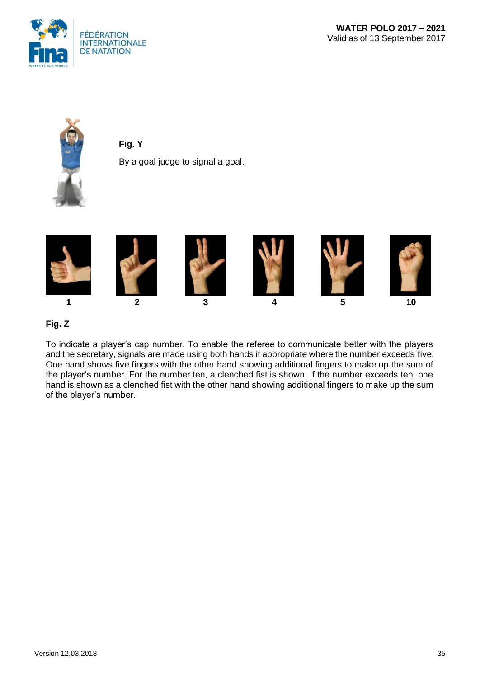



**Fig. Y** By a goal judge to signal a goal.



## **Fig. Z**

To indicate a player's cap number. To enable the referee to communicate better with the players and the secretary, signals are made using both hands if appropriate where the number exceeds five. One hand shows five fingers with the other hand showing additional fingers to make up the sum of the player's number. For the number ten, a clenched fist is shown. If the number exceeds ten, one hand is shown as a clenched fist with the other hand showing additional fingers to make up the sum of the player's number.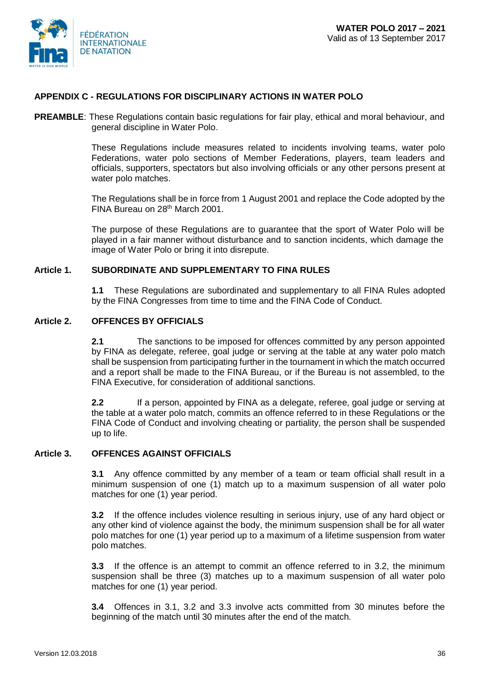

## **APPENDIX C - REGULATIONS FOR DISCIPLINARY ACTIONS IN WATER POLO**

**PREAMBLE**: These Regulations contain basic regulations for fair play, ethical and moral behaviour, and general discipline in Water Polo.

> These Regulations include measures related to incidents involving teams, water polo Federations, water polo sections of Member Federations, players, team leaders and officials, supporters, spectators but also involving officials or any other persons present at water polo matches.

> The Regulations shall be in force from 1 August 2001 and replace the Code adopted by the FINA Bureau on 28<sup>th</sup> March 2001.

> The purpose of these Regulations are to guarantee that the sport of Water Polo will be played in a fair manner without disturbance and to sanction incidents, which damage the image of Water Polo or bring it into disrepute.

### **Article 1. SUBORDINATE AND SUPPLEMENTARY TO FINA RULES**

**1.1** These Regulations are subordinated and supplementary to all FINA Rules adopted by the FINA Congresses from time to time and the FINA Code of Conduct.

#### **Article 2. OFFENCES BY OFFICIALS**

**2.1** The sanctions to be imposed for offences committed by any person appointed by FINA as delegate, referee, goal judge or serving at the table at any water polo match shall be suspension from participating further in the tournament in which the match occurred and a report shall be made to the FINA Bureau, or if the Bureau is not assembled, to the FINA Executive, for consideration of additional sanctions.

**2.2** If a person, appointed by FINA as a delegate, referee, goal judge or serving at the table at a water polo match, commits an offence referred to in these Regulations or the FINA Code of Conduct and involving cheating or partiality, the person shall be suspended up to life.

## **Article 3. OFFENCES AGAINST OFFICIALS**

**3.1** Any offence committed by any member of a team or team official shall result in a minimum suspension of one (1) match up to a maximum suspension of all water polo matches for one (1) year period.

**3.2** If the offence includes violence resulting in serious injury, use of any hard object or any other kind of violence against the body, the minimum suspension shall be for all water polo matches for one (1) year period up to a maximum of a lifetime suspension from water polo matches.

**3.3** If the offence is an attempt to commit an offence referred to in 3.2, the minimum suspension shall be three (3) matches up to a maximum suspension of all water polo matches for one (1) year period.

**3.4** Offences in 3.1, 3.2 and 3.3 involve acts committed from 30 minutes before the beginning of the match until 30 minutes after the end of the match.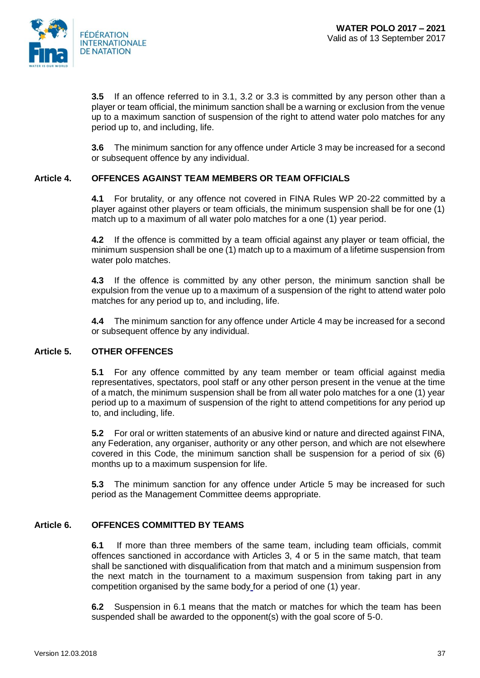

**3.5** If an offence referred to in 3.1, 3.2 or 3.3 is committed by any person other than a player or team official, the minimum sanction shall be a warning or exclusion from the venue up to a maximum sanction of suspension of the right to attend water polo matches for any period up to, and including, life.

**3.6** The minimum sanction for any offence under Article 3 may be increased for a second or subsequent offence by any individual.

## **Article 4. OFFENCES AGAINST TEAM MEMBERS OR TEAM OFFICIALS**

**4.1** For brutality, or any offence not covered in FINA Rules WP 20-22 committed by a player against other players or team officials, the minimum suspension shall be for one (1) match up to a maximum of all water polo matches for a one (1) year period.

**4.2** If the offence is committed by a team official against any player or team official, the minimum suspension shall be one (1) match up to a maximum of a lifetime suspension from water polo matches.

**4.3** If the offence is committed by any other person, the minimum sanction shall be expulsion from the venue up to a maximum of a suspension of the right to attend water polo matches for any period up to, and including, life.

**4.4** The minimum sanction for any offence under Article 4 may be increased for a second or subsequent offence by any individual.

## **Article 5. OTHER OFFENCES**

**5.1** For any offence committed by any team member or team official against media representatives, spectators, pool staff or any other person present in the venue at the time of a match, the minimum suspension shall be from all water polo matches for a one (1) year period up to a maximum of suspension of the right to attend competitions for any period up to, and including, life.

**5.2** For oral or written statements of an abusive kind or nature and directed against FINA, any Federation, any organiser, authority or any other person, and which are not elsewhere covered in this Code, the minimum sanction shall be suspension for a period of six (6) months up to a maximum suspension for life.

**5.3** The minimum sanction for any offence under Article 5 may be increased for such period as the Management Committee deems appropriate.

## **Article 6. OFFENCES COMMITTED BY TEAMS**

**6.1** If more than three members of the same team, including team officials, commit offences sanctioned in accordance with Articles 3, 4 or 5 in the same match, that team shall be sanctioned with disqualification from that match and a minimum suspension from the next match in the tournament to a maximum suspension from taking part in any competition organised by the same body for a period of one (1) year.

**6.2** Suspension in 6.1 means that the match or matches for which the team has been suspended shall be awarded to the opponent(s) with the goal score of 5-0.